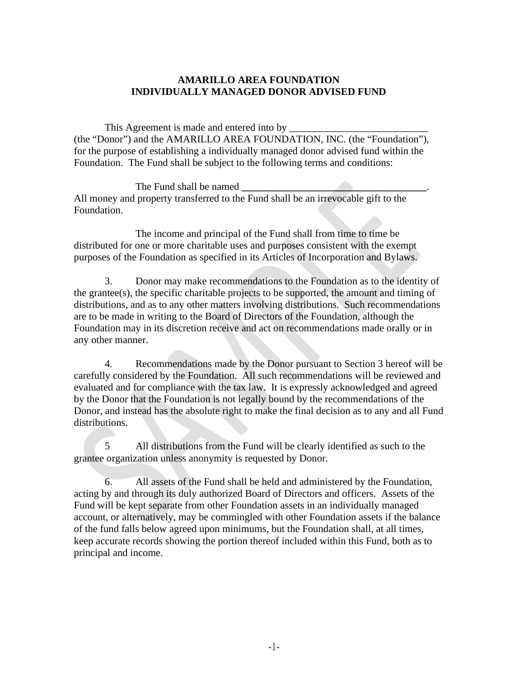## **AMARILLO AREA FOUNDATION INDIVIDUALLY MANAGED DONOR ADVISED FUND**

This Agreement is made and entered into by (the "Donor") and the AMARILLO AREA FOUNDATION, INC. (the "Foundation"), for the purpose of establishing a individually managed donor advised fund within the Foundation. The Fund shall be subject to the following terms and conditions:

The Fund shall be named **\_\_\_\_\_\_\_\_\_\_\_\_\_\_\_\_\_\_\_\_\_\_\_\_\_\_\_\_\_\_\_\_\_\_\_\_**. All money and property transferred to the Fund shall be an irrevocable gift to the Foundation.

The income and principal of the Fund shall from time to time be distributed for one or more charitable uses and purposes consistent with the exempt purposes of the Foundation as specified in its Articles of Incorporation and Bylaws.

3. Donor may make recommendations to the Foundation as to the identity of the grantee(s), the specific charitable projects to be supported, the amount and timing of distributions, and as to any other matters involving distributions. Such recommendations are to be made in writing to the Board of Directors of the Foundation, although the Foundation may in its discretion receive and act on recommendations made orally or in any other manner.

4. Recommendations made by the Donor pursuant to Section 3 hereof will be carefully considered by the Foundation. All such recommendations will be reviewed and evaluated and for compliance with the tax law. It is expressly acknowledged and agreed by the Donor that the Foundation is not legally bound by the recommendations of the Donor, and instead has the absolute right to make the final decision as to any and all Fund distributions.

5 All distributions from the Fund will be clearly identified as such to the grantee organization unless anonymity is requested by Donor.

6. All assets of the Fund shall be held and administered by the Foundation, acting by and through its duly authorized Board of Directors and officers. Assets of the Fund will be kept separate from other Foundation assets in an individually managed account, or alternatively, may be commingled with other Foundation assets if the balance of the fund falls below agreed upon minimums, but the Foundation shall, at all times, keep accurate records showing the portion thereof included within this Fund, both as to principal and income.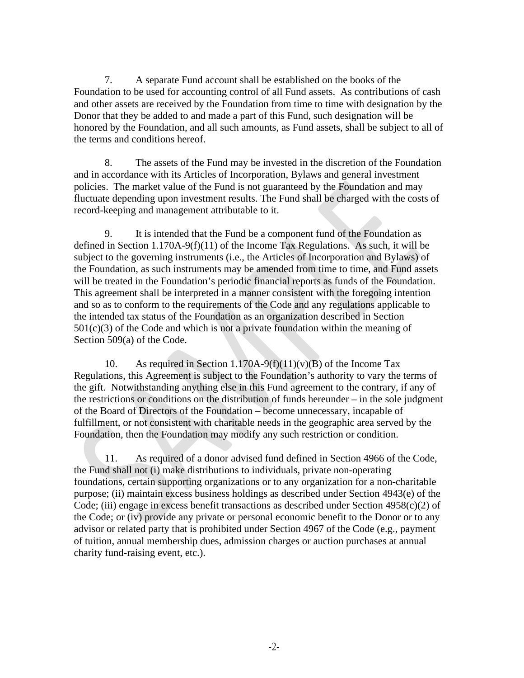7. A separate Fund account shall be established on the books of the Foundation to be used for accounting control of all Fund assets. As contributions of cash and other assets are received by the Foundation from time to time with designation by the Donor that they be added to and made a part of this Fund, such designation will be honored by the Foundation, and all such amounts, as Fund assets, shall be subject to all of the terms and conditions hereof.

8. The assets of the Fund may be invested in the discretion of the Foundation and in accordance with its Articles of Incorporation, Bylaws and general investment policies. The market value of the Fund is not guaranteed by the Foundation and may fluctuate depending upon investment results. The Fund shall be charged with the costs of record-keeping and management attributable to it.

9. It is intended that the Fund be a component fund of the Foundation as defined in Section 1.170A-9(f)(11) of the Income Tax Regulations. As such, it will be subject to the governing instruments (i.e., the Articles of Incorporation and Bylaws) of the Foundation, as such instruments may be amended from time to time, and Fund assets will be treated in the Foundation's periodic financial reports as funds of the Foundation. This agreement shall be interpreted in a manner consistent with the foregoing intention and so as to conform to the requirements of the Code and any regulations applicable to the intended tax status of the Foundation as an organization described in Section  $501(c)(3)$  of the Code and which is not a private foundation within the meaning of Section 509(a) of the Code.

10. As required in Section 1.170A-9(f)(11)(v)(B) of the Income Tax Regulations, this Agreement is subject to the Foundation's authority to vary the terms of the gift. Notwithstanding anything else in this Fund agreement to the contrary, if any of the restrictions or conditions on the distribution of funds hereunder – in the sole judgment of the Board of Directors of the Foundation – become unnecessary, incapable of fulfillment, or not consistent with charitable needs in the geographic area served by the Foundation, then the Foundation may modify any such restriction or condition.

11. As required of a donor advised fund defined in Section 4966 of the Code, the Fund shall not (i) make distributions to individuals, private non-operating foundations, certain supporting organizations or to any organization for a non-charitable purpose; (ii) maintain excess business holdings as described under Section 4943(e) of the Code; (iii) engage in excess benefit transactions as described under Section 4958(c)(2) of the Code; or (iv) provide any private or personal economic benefit to the Donor or to any advisor or related party that is prohibited under Section 4967 of the Code (e.g., payment of tuition, annual membership dues, admission charges or auction purchases at annual charity fund-raising event, etc.).